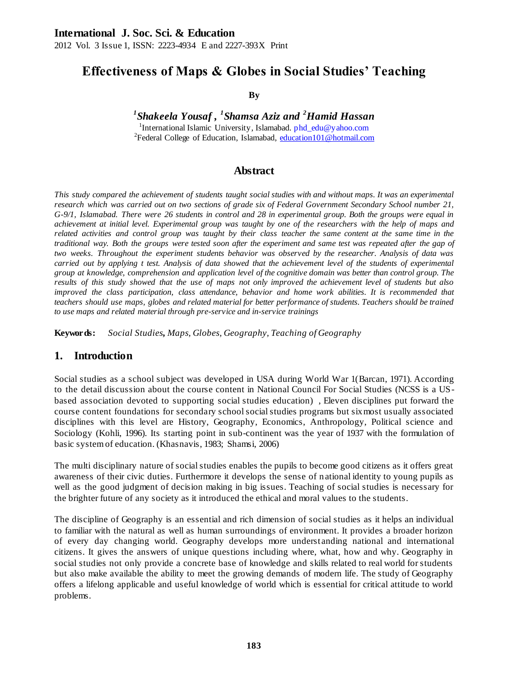2012 Vol. 3 Issue 1, ISSN: 2223-4934 E and 2227-393X Print

# **Effectiveness of Maps & Globes in Social Studies' Teaching**

**By**

<sup>1</sup>Shakeela Yousaf , <sup>1</sup>Shamsa Aziz and <sup>2</sup>Hamid Hassan

<sup>1</sup>International Islamic University, Islamabad. [phd\\_edu@yahoo.com](mailto:phd_edu@yahoo.com) <sup>2</sup>Federal College of Education, Islamabad[, education101@hotmail.com](mailto:education101@hotmail.com)

# **Abstract**

*This study compared the achievement of students taught social studies with and without maps. It was an experimental research which was carried out on two sections of grade six of Federal Government Secondary School number 21, G-9/1, Islamabad. There were 26 students in control and 28 in experimental group. Both the groups were equal in achievement at initial level. Experimental group was taught by one of the researchers with the help of maps and*  related activities and control group was taught by their class teacher the same content at the same time in the *traditional way. Both the groups were tested soon after the experiment and same test was repeated after the gap of two weeks. Throughout the experiment students behavior was observed by the researcher. Analysis of data was carried out by applying t test. Analysis of data showed that the achievement level of the students of experimental group at knowledge, comprehension and application level of the cognitive domain was better than control group. The results of this study showed that the use of maps not only improved the achievement level of students but also improved the class participation, class attendance, behavior and home work abilities. It is recommended that teachers should use maps, globes and related material for better performance of students. Teachers should be trained to use maps and related material through pre-service and in-service trainings*

**Keywords:** *Social Studies, Maps, Globes, Geography, Teaching of Geography*

#### **1. Introduction**

Social studies as a school subject was developed in USA during World War 1(Barcan, 1971). According to the detail discussion about the course content in National Council For Social Studies (NCSS is a USbased association devoted to supporting social studies education) , Eleven disciplines put forward the course content foundations for secondary school social studies programs but six most usually associated disciplines with this level are History, Geography, Economics, Anthropology, Political science and Sociology (Kohli, 1996). Its starting point in sub-continent was the year of 1937 with the formulation of basic system of education. (Khasnavis, 1983; Shamsi, 2006)

The multi disciplinary nature of social studies enables the pupils to become good citizens as it offers great awareness of their civic duties. Furthermore it develops the sense of national identity to young pupils as well as the good judgment of decision making in big issues. Teaching of social studies is necessary for the brighter future of any society as it introduced the ethical and moral values to the students.

The discipline of Geography is an essential and rich dimension of social studies as it helps an individual to familiar with the natural as well as human surroundings of environment. It provides a broader horizon of every day changing world. Geography develops more underst anding national and international citizens. It gives the answers of unique questions including where, what, how and why. Geography in social studies not only provide a concrete base of knowledge and skills related to real world for students but also make available the ability to meet the growing demands of modern life. The study of Geography offers a lifelong applicable and useful knowledge of world which is essential for critical attitude to world problems.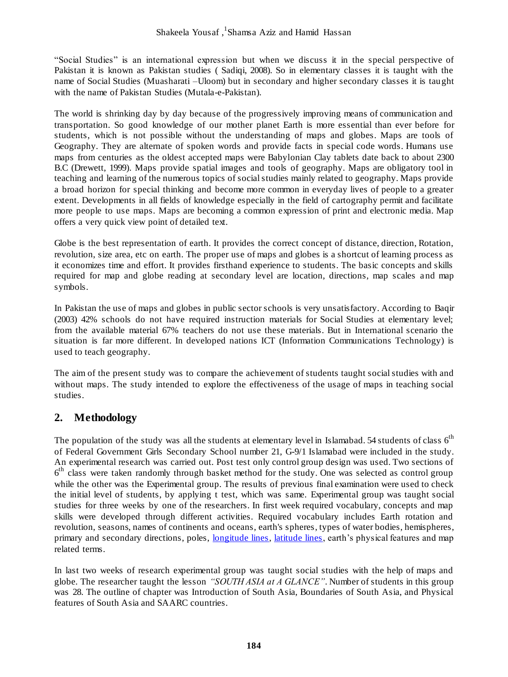"Social Studies" is an international expression but when we discuss it in the special perspective of Pakistan it is known as Pakistan studies ( Sadiqi, 2008). So in elementary classes it is taught with the name of Social Studies (Muasharati –Uloom) but in secondary and higher secondary classes it is taught with the name of Pakistan Studies (Mutala-e-Pakistan).

The world is shrinking day by day because of the progressively improving means of communication and transportation. So good knowledge of our mother planet Earth is more essential than ever before for students, which is not possible without the understanding of maps and globes. Maps are tools of Geography. They are alternate of spoken words and provide facts in special code words. Humans use maps from centuries as the oldest accepted maps were Babylonian Clay tablets date back to about 2300 B.C (Drewett, 1999). Maps provide spatial images and tools of geography. Maps are obligatory tool in teaching and learning of the numerous topics of social studies mainly related to geography. Maps provide a broad horizon for special thinking and become more common in everyday lives of people to a greater extent. Developments in all fields of knowledge especially in the field of cartography permit and facilitate more people to use maps. Maps are becoming a common expression of print and electronic media. Map offers a very quick view point of detailed text.

Globe is the best representation of earth. It provides the correct concept of distance, direction, Rotation, revolution, size area, etc on earth. The proper use of maps and globes is a shortcut of learning process as it economizes time and effort. It provides firsthand experience to students. The basic concepts and skills required for map and globe reading at secondary level are location, directions, map scales a nd map symbols.

In Pakistan the use of maps and globes in public sector schools is very unsatisfactory. According to Baqir (2003) 42% schools do not have required instruction materials for Social Studies at elementary level; from the available material 67% teachers do not use these materials. But in International scenario the situation is far more different. In developed nations ICT (Information Communications Technology) is used to teach geography.

The aim of the present study was to compare the achievement of students taught social studies with and without maps. The study intended to explore the effectiveness of the usage of maps in teaching social studies.

# **2. Methodology**

The population of the study was all the students at elementary level in Islamabad. 54 students of class 6<sup>th</sup> of Federal Government Girls Secondary School number 21, G-9/1 Islamabad were included in the study. An experimental research was carried out. Post test only control group design was used. Two sections of  $6<sup>th</sup>$  class were taken randomly through basket method for the study. One was selected as control group while the other was the Experimental group. The results of previous final examination were used to check the initial level of students, by applying t test, which was same. Experimental group was taught social studies for three weeks by one of the researchers. In first week required vocabulary, concepts and map skills were developed through different activities. Required vocabulary includes Earth rotation and revolution, seasons, names of continents and oceans, earth's spheres, types of water bodies, hemispheres, primary and secondary directions, poles[, longitude lines](http://www.factmonster.com/cgi-bin/id/A0830245)[, latitude lines,](http://www.factmonster.com/cgi-bin/id/A0828986) earth's physical features and map related terms.

In last two weeks of research experimental group was taught social studies with the help of maps and globe. The researcher taught the lesson *"SOUTH ASIA at A GLANCE"*. Number of students in this group was 28. The outline of chapter was Introduction of South Asia, Boundaries of South Asia, and Physical features of South Asia and SAARC countries.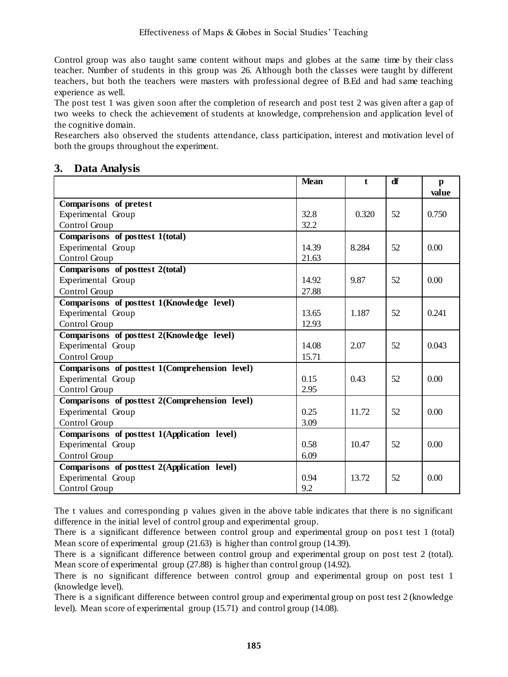Control group was also taught same content without maps and globes at the same time by their class teacher. Number of students in this group was 26. Although both the classes were taught by different teachers, but both the teachers were masters with professional degree of B.Ed and had same teaching experience as well.

The post test 1 was given soon after the completion of research and post test 2 was given after a gap of two weeks to check the achievement of students at knowledge, comprehension and application level of the cognitive domain.

Researchers also observed the students attendance, class participation, interest and motivation level of both the groups throughout the experiment.

### **3. Data Analysis**

|                                                   | <b>Mean</b> | $\mathbf{f}$ | df | p<br>value |
|---------------------------------------------------|-------------|--------------|----|------------|
| Comparisons of pretest                            |             |              |    |            |
| Experimental Group                                | 32.8        | 0.320        | 52 | 0.750      |
| Control Group                                     | 32.2        |              |    |            |
| Comparisons of posttest 1(total)                  |             |              |    |            |
| Experimental Group                                | 14.39       | 8.284        | 52 | 0.00       |
| Control Group                                     | 21.63       |              |    |            |
| Comparisons of posttest 2(total)                  |             |              |    |            |
| Experimental Group                                | 14.92       | 9.87         | 52 | 0.00       |
| Control Group                                     | 27.88       |              |    |            |
| Comparisons of posttest 1(Knowledge level)        |             |              |    |            |
| Experimental Group                                | 13.65       | 1.187        | 52 | 0.241      |
| Control Group                                     | 12.93       |              |    |            |
| Comparisons of posttest 2(Knowledge level)        |             |              |    |            |
| Experimental Group                                | 14.08       | 2.07         | 52 | 0.043      |
| Control Group                                     | 15.71       |              |    |            |
| Comparisons of posttest 1(Comprehension level)    |             |              |    |            |
| Experimental Group                                | 0.15        | 0.43         | 52 | 0.00       |
| Control Group                                     | 2.95        |              |    |            |
| Comparisons of posttest $2$ (Comprehension level) |             |              |    |            |
| Experimental Group                                | 0.25        | 11.72        | 52 | 0.00       |
| Control Group                                     | 3.09        |              |    |            |
| Comparisons of posttest 1(Application level)      |             |              |    |            |
| Experimental Group                                | 0.58        | 10.47        | 52 | 0.00       |
| Control Group                                     | 6.09        |              |    |            |
| Comparisons of posttest 2(Application level)      |             |              |    |            |
| Experimental Group                                | 0.94        | 13.72        | 52 | 0.00       |
| Control Group                                     | 9.2         |              |    |            |

The t values and corresponding p values given in the above table indicates that there is no significant difference in the initial level of control group and experimental group.

There is a significant difference between control group and experimental group on post test 1 (total) Mean score of experimental group (21.63) is higher than control group (14.39).

There is a significant difference between control group and experimental group on post test 2 (total). Mean score of experimental group (27.88) is higher than control group (14.92).

There is no significant difference between control group and experimental group on post test 1 (knowledge level).

There is a significant difference between control group and experimental group on post test 2 (knowledge level). Mean score of experimental group (15.71) and control group (14.08).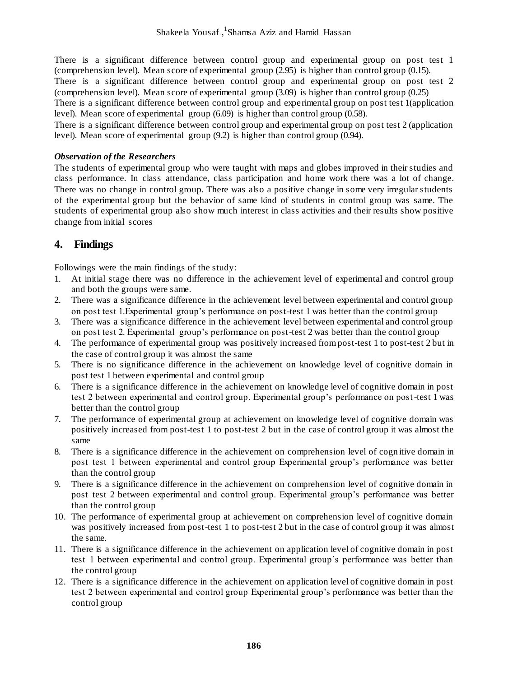There is a significant difference between control group and experimental group on post test 1 (comprehension level). Mean score of experimental group (2.95) is higher than control group (0.15).

There is a significant difference between control group and experimental group on post test 2 (comprehension level). Mean score of experimental group (3.09) is higher than control group (0.25)

There is a significant difference between control group and experimental group on post test 1(application level). Mean score of experimental group (6.09) is higher than control group (0.58).

There is a significant difference between control group and experimental group on post test 2 (application level). Mean score of experimental group (9.2) is higher than control group (0.94).

#### *Observation of the Researchers*

The students of experimental group who were taught with maps and globes improved in their studies and class performance. In class attendance, class participation and home work there was a lot of change. There was no change in control group. There was also a positive change in some very irregular students of the experimental group but the behavior of same kind of students in control group was same. The students of experimental group also show much interest in class activities and their results show positive change from initial scores

### **4. Findings**

Followings were the main findings of the study:

- 1. At initial stage there was no difference in the achievement level of experimental and control group and both the groups were same.
- 2. There was a significance difference in the achievement level between experimental and control group on post test 1.Experimental group's performance on post-test 1 was better than the control group
- 3. There was a significance difference in the achievement level between experimental and control group on post test 2. Experimental group's performance on post-test 2 was better than the control group
- 4. The performance of experimental group was positively increased from post-test 1 to post-test 2 but in the case of control group it was almost the same
- 5. There is no significance difference in the achievement on knowledge level of cognitive domain in post test 1 between experimental and control group
- 6. There is a significance difference in the achievement on knowledge level of cognitive domain in post test 2 between experimental and control group. Experimental group's performance on post-test 1 was better than the control group
- 7. The performance of experimental group at achievement on knowledge level of cognitive domain was positively increased from post-test 1 to post-test 2 but in the case of control group it was almost the same
- 8. There is a significance difference in the achievement on comprehension level of cogn itive domain in post test 1 between experimental and control group Experimental group's performance was better than the control group
- 9. There is a significance difference in the achievement on comprehension level of cognitive domain in post test 2 between experimental and control group. Experimental group's performance was better than the control group
- 10. The performance of experimental group at achievement on comprehension level of cognitive domain was positively increased from post-test 1 to post-test 2 but in the case of control group it was almost the same.
- 11. There is a significance difference in the achievement on application level of cognitive domain in post test 1 between experimental and control group. Experimental group's performance was better than the control group
- 12. There is a significance difference in the achievement on application level of cognitive domain in post test 2 between experimental and control group Experimental group's performance was better than the control group